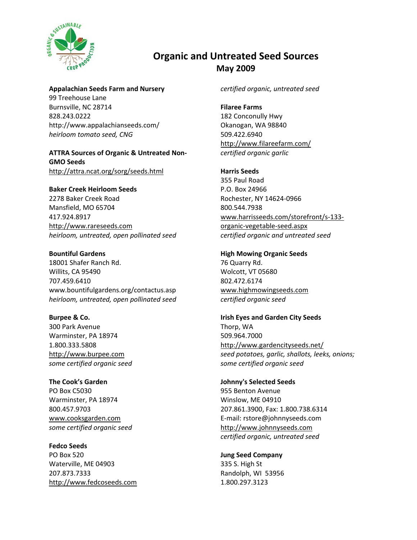

# **Organic and Untreated Seed Sources May 2009**

**Appalachian Seeds Farm and Nursery**

99 Treehouse Lane Burnsville, NC 28714 828.243.0222 http://www.appalachianseeds.com/ *heirloom tomato seed, CNG*

### **ATTRA Sources of Organic & Untreated Non‐ GMO Seeds** <http://attra.ncat.org/sorg/seeds.html>

**Baker Creek [Heirloom](http://www.rareseeds.com/) Seeds**

2278 Baker Creek Road Mansfield, MO 65704 417.924.8917 [http://www.rareseeds.com](http://www.rareseeds.com/) *heirloom, untreated, open pollinated seed*

**Bountiful Gardens** 18001 Shafer Ranch Rd. Willits, CA 95490 707.459.6410 www.bountifulgardens.org/contactus.asp *heirloom, untreated, open pollinated seed*

**Burpee & Co.** 300 Park Avenue Warminster, PA 18974 1.800.333.5808 http://www.burpee.com *some certified organic seed*

**The Cook's Garden** PO Box C5030 Warminster, PA 18974 800.457.9703 [www.cooksgarden.com](http://www.cooksgarden.com/) *some certified organic seed*

**Fedco Seeds** PO Box 520 Waterville, ME 04903 207.873.7333 [http://www.fedcoseeds.com](http://www.fedcoseeds.com/) *certified organic, untreated seed*

**Filaree Farms** 182 Conconully Hwy Okanogan, WA 98840 509.422.6940 <http://www.filareefarm.com/> *certified organic garlic*

## **Harris Seeds**

355 Paul Road P.O. Box 24966 Rochester, NY 14624‐0966 800.544.7938 [www.harrisseeds.com/storefront/s](http://www.harrisseeds.com/storefront/s-133-organic-vegetable-seed.aspx)‐133‐ organic‐vegetable‐[seed.aspx](http://www.harrisseeds.com/storefront/s-133-organic-vegetable-seed.aspx) *certified organic and untreated seed*

**High Mowing Organic Seeds** 76 Quarry Rd. Wolcott, VT 05680 802.472.6174 [www.highmowingseeds.com](http://www.highmowingseeds.com/) *certified organic seed*

**Irish Eyes and Garden City Seeds** Thorp, WA 509.964.7000 <http://www.gardencityseeds.net/> *seed potatoes, garlic, shallots, leeks, onions; some certified organic seed*

**[Johnny's](http://www.johnnyseeds.com/) Selected Seeds** 955 Benton Avenue Winslow, ME 04910 207.861.3900, Fax: 1.800.738.6314 E‐mail: rstore@johnnyseeds.com http://www.johnnyseeds.com *certified organic, untreated seed*

**Jung Seed Company** 335 S. High St Randolph, WI 53956 1.800.297.3123